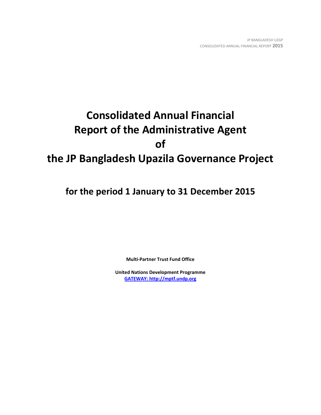# **Consolidated Annual Financial Report of the Administrative Agent of the JP Bangladesh Upazila Governance Project**

**for the period 1 January to 31 December 2015**

**Multi-Partner Trust Fund Office**

**United Nations Development Programme [GATEWAY: http://mptf.undp.org](http://mptf.undp.org/)**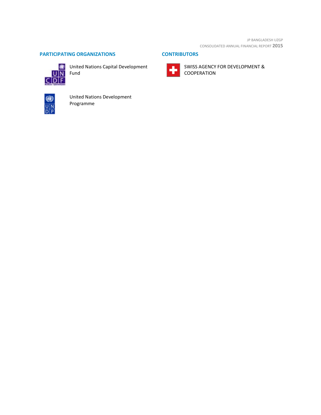JP BANGLADESH UZGP CONSOLIDATED ANNUAL FINANCIAL REPORT **2015**

# **PARTICIPATING ORGANIZATIONS CONTRIBUTORS**



United Nations Capital Development



SWISS AGENCY FOR DEVELOPMENT & COOPERATION



United Nations Development Programme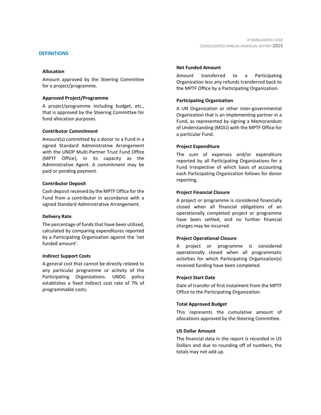#### **DEFINITIONS**

#### **Allocation**

Amount approved by the Steering Committee for a project/programme.

#### **Approved Project/Programme**

A project/programme including budget, etc., that is approved by the Steering Committee for fund allocation purposes.

### **Contributor Commitment**

Amount(s) committed by a donor to a Fund in a signed Standard Administrative Arrangement with the UNDP Multi-Partner Trust Fund Office (MPTF Office), in its capacity as the Administrative Agent. A commitment may be paid or pending payment.

#### **Contributor Deposit**

Cash deposit received by the MPTF Office for the Fund from a contributor in accordance with a signed Standard Administrative Arrangement.

#### **Delivery Rate**

The percentage of funds that have been utilized, calculated by comparing expenditures reported by a Participating Organization against the 'net funded amount'.

#### **Indirect Support Costs**

A general cost that cannot be directly related to any particular programme or activity of the Participating Organizations. UNDG policy establishes a fixed indirect cost rate of 7% of programmable costs.

#### **Net Funded Amount**

Amount transferred to a Participating Organization less any refunds transferred back to the MPTF Office by a Participating Organization.

### **Participating Organization**

A UN Organization or other inter-governmental Organization that is an implementing partner in a Fund, as represented by signing a Memorandum of Understanding (MOU) with the MPTF Office for a particular Fund.

### **Project Expenditure**

The sum of expenses and/or expenditure reported by all Participating Organizations for a Fund irrespective of which basis of accounting each Participating Organization follows for donor reporting.

### **Project Financial Closure**

A project or programme is considered financially closed when all financial obligations of an operationally completed project or programme have been settled, and no further financial charges may be incurred.

# **Project Operational Closure**

A project or programme is considered operationally closed when all programmatic activities for which Participating Organization(s) received funding have been completed.

#### **Project Start Date**

Date of transfer of first instalment from the MPTF Office to the Participating Organization.

# **Total Approved Budget**

This represents the cumulative amount of allocations approved by the Steering Committee.

#### **US Dollar Amount**

The financial data in the report is recorded in US Dollars and due to rounding off of numbers, the totals may not add up.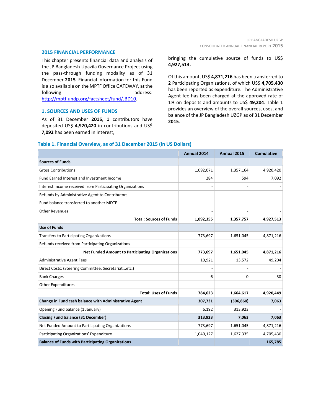#### **2015 FINANCIAL PERFORMANCE**

This chapter presents financial data and analysis of the JP Bangladesh Upazila Governance Project using the pass-through funding modality as of 31 December **2015**. Financial information for this Fund is also available on the MPTF Office GATEWAY, at the following address: [http://mptf.undp.org/factsheet/fund/JBD10.](http://mptf.undp.org/factsheet/fund/JBD10) 

#### **1. SOURCES AND USES OF FUNDS**

As of 31 December **2015**, **1** contributors have deposited US\$ **4,920,420** in contributions and US\$ **7,092** has been earned in interest,

bringing the cumulative source of funds to US\$ **4,927,513.**

Of this amount, US\$ **4,871,216** has been transferred to **2** Participating Organizations, of which US\$ **4,705,430** has been reported as expenditure. The Administrative Agent fee has been charged at the approved rate of 1% on deposits and amounts to US\$ **49,204**. Table 1 provides an overview of the overall sources, uses, and balance of the JP Bangladesh UZGP as of 31 December **2015**.

#### **Table 1. Financial Overview, as of 31 December 2015 (in US Dollars)**

|                                                           | Annual 2014 | Annual 2015 | <b>Cumulative</b> |
|-----------------------------------------------------------|-------------|-------------|-------------------|
| <b>Sources of Funds</b>                                   |             |             |                   |
| <b>Gross Contributions</b>                                | 1,092,071   | 1,357,164   | 4,920,420         |
| Fund Earned Interest and Investment Income                | 284         | 594         | 7,092             |
| Interest Income received from Participating Organizations |             |             |                   |
| Refunds by Administrative Agent to Contributors           |             |             |                   |
| Fund balance transferred to another MDTF                  |             |             |                   |
| <b>Other Revenues</b>                                     |             |             |                   |
| <b>Total: Sources of Funds</b>                            | 1,092,355   | 1,357,757   | 4,927,513         |
| <b>Use of Funds</b>                                       |             |             |                   |
| <b>Transfers to Participating Organizations</b>           | 773,697     | 1,651,045   | 4,871,216         |
| Refunds received from Participating Organizations         |             |             |                   |
| <b>Net Funded Amount to Participating Organizations</b>   | 773,697     | 1,651,045   | 4,871,216         |
| <b>Administrative Agent Fees</b>                          | 10,921      | 13,572      | 49,204            |
| Direct Costs: (Steering Committee, Secretariatetc.)       |             |             |                   |
| <b>Bank Charges</b>                                       | 6           | 0           | 30                |
| Other Expenditures                                        |             |             |                   |
| <b>Total: Uses of Funds</b>                               | 784,623     | 1,664,617   | 4,920,449         |
| Change in Fund cash balance with Administrative Agent     | 307,731     | (306, 860)  | 7,063             |
| Opening Fund balance (1 January)                          | 6,192       | 313,923     |                   |
| <b>Closing Fund balance (31 December)</b>                 | 313,923     | 7,063       | 7,063             |
| Net Funded Amount to Participating Organizations          | 773,697     | 1,651,045   | 4,871,216         |
| Participating Organizations' Expenditure                  | 1,040,127   | 1,627,335   | 4,705,430         |
| <b>Balance of Funds with Participating Organizations</b>  |             |             | 165,785           |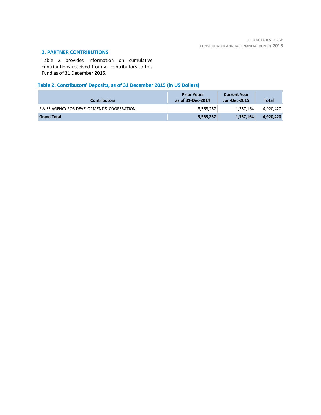# **2. PARTNER CONTRIBUTIONS**

Table 2 provides information on cumulative contributions received from all contributors to this Fund as of 31 December **2015**.

# **Table 2. Contributors' Deposits, as of 31 December 2015 (in US Dollars)**

| <b>Contributors</b>                        | <b>Prior Years</b><br>as of 31-Dec-2014 | <b>Current Year</b><br>Jan-Dec-2015 | Total     |
|--------------------------------------------|-----------------------------------------|-------------------------------------|-----------|
| SWISS AGENCY FOR DEVELOPMENT & COOPERATION | 3,563,257                               | 1,357,164                           | 4,920,420 |
| <b>Grand Total</b>                         | 3,563,257                               | 1,357,164                           | 4,920,420 |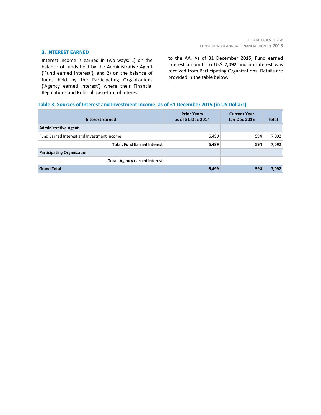#### **3. INTEREST EARNED**

Interest income is earned in two ways: 1) on the balance of funds held by the Administrative Agent ('Fund earned interest'), and 2) on the balance of funds held by the Participating Organizations ('Agency earned interest') where their Financial Regulations and Rules allow return of interest

to the AA. As of 31 December **2015**, Fund earned interest amounts to US\$ **7,092** and no interest was received from Participating Organizations. Details are provided in the table below.

# **Table 3. Sources of Interest and Investment Income, as of 31 December 2015 (in US Dollars)**

| <b>Interest Earned</b>                     | <b>Prior Years</b><br>as of 31-Dec-2014 | <b>Current Year</b><br><b>Jan-Dec-2015</b> | <b>Total</b> |
|--------------------------------------------|-----------------------------------------|--------------------------------------------|--------------|
| <b>Administrative Agent</b>                |                                         |                                            |              |
| Fund Earned Interest and Investment Income | 6,499                                   | 594                                        | 7,092        |
| <b>Total: Fund Earned Interest</b>         | 6,499                                   | 594                                        | 7,092        |
| <b>Participating Organization</b>          |                                         |                                            |              |
| <b>Total: Agency earned interest</b>       |                                         |                                            |              |
| <b>Grand Total</b>                         | 6,499                                   | 594                                        | 7,092        |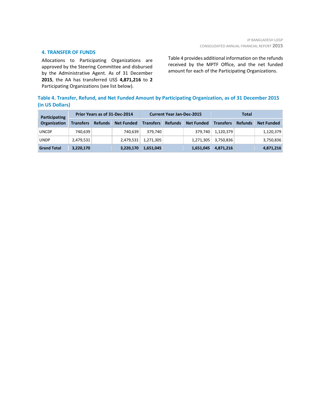### **4. TRANSFER OF FUNDS**

Allocations to Participating Organizations are approved by the Steering Committee and disbursed by the Administrative Agent. As of 31 December **2015**, the AA has transferred US\$ **4,871,216** to **2** Participating Organizations (see list below).

Table 4 provides additional information on the refunds received by the MPTF Office, and the net funded amount for each of the Participating Organizations.

# **Table 4. Transfer, Refund, and Net Funded Amount by Participating Organization, as of 31 December 2015 (in US Dollars)**

| Participating      | Prior Years as of 31-Dec-2014 |                |                   | <b>Current Year Jan-Dec-2015</b> |                |                   | Total            |                |                   |
|--------------------|-------------------------------|----------------|-------------------|----------------------------------|----------------|-------------------|------------------|----------------|-------------------|
| Organization       | <b>Transfers</b>              | <b>Refunds</b> | <b>Net Funded</b> | <b>Transfers</b>                 | <b>Refunds</b> | <b>Net Funded</b> | <b>Transfers</b> | <b>Refunds</b> | <b>Net Funded</b> |
| <b>UNCDF</b>       | 740,639                       |                | 740,639           | 379.740                          |                | 379.740           | 1,120,379        |                | 1,120,379         |
| <b>UNDP</b>        | 2,479,531                     |                | 2,479,531         | 1,271,305                        |                | 1,271,305         | 3,750,836        |                | 3,750,836         |
| <b>Grand Total</b> | 3,220,170                     |                | 3,220,170         | 1,651,045                        |                | 1,651,045         | 4,871,216        |                | 4,871,216         |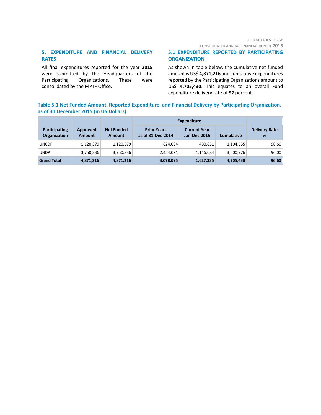# **5. EXPENDITURE AND FINANCIAL DELIVERY RATES**

All final expenditures reported for the year **2015** were submitted by the Headquarters of the Participating Organizations. These were consolidated by the MPTF Office.

# **5.1 EXPENDITURE REPORTED BY PARTICIPATING ORGANIZATION**

As shown in table below, the cumulative net funded amount is US\$ **4,871,216** and cumulative expenditures reported by the Participating Organizations amount to US\$ **4,705,430**. This equates to an overall Fund expenditure delivery rate of **97** percent.

# **Table 5.1 Net Funded Amount, Reported Expenditure, and Financial Delivery by Participating Organization, as of 31 December 2015 (in US Dollars)**

|                                             |                           |                             | <b>Expenditure</b>                      |                                     |                   |                           |
|---------------------------------------------|---------------------------|-----------------------------|-----------------------------------------|-------------------------------------|-------------------|---------------------------|
| <b>Participating</b><br><b>Organization</b> | Approved<br><b>Amount</b> | <b>Net Funded</b><br>Amount | <b>Prior Years</b><br>as of 31-Dec-2014 | <b>Current Year</b><br>Jan-Dec-2015 | <b>Cumulative</b> | <b>Delivery Rate</b><br>% |
| <b>UNCDF</b>                                | 1,120,379                 | 1,120,379                   | 624,004                                 | 480,651                             | 1,104,655         | 98.60                     |
| <b>UNDP</b>                                 | 3,750,836                 | 3,750,836                   | 2,454,091                               | 1,146,684                           | 3,600,776         | 96.00                     |
| <b>Grand Total</b>                          | 4,871,216                 | 4,871,216                   | 3,078,095                               | 1,627,335                           | 4,705,430         | 96.60                     |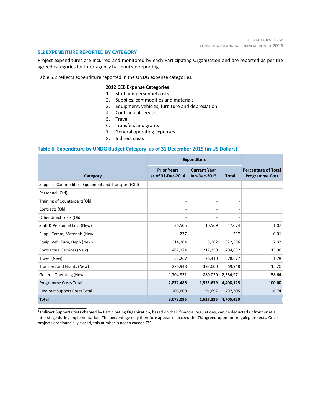#### **5.2 EXPENDITURE REPORTED BY CATEGORY**

\_\_\_\_\_\_\_\_\_\_\_\_\_\_\_\_\_\_\_\_\_\_

Project expenditures are incurred and monitored by each Participating Organization and are reported as per the agreed categories for inter-agency harmonized reporting.

Table 5.2 reflects expenditure reported in the UNDG expense categories.

### **2012 CEB Expense Categories**

- 1. Staff and personnel costs
- 2. Supplies, commodities and materials
- 3. Equipment, vehicles, furniture and depreciation
- 4. Contractual services
- 5. Travel
- 6. Transfers and grants
- 7. General operating expenses
- 8. Indirect costs

#### **Table 6. Expenditure by UNDG Budget Category, as of 31 December 2015 (in US Dollars)**

|                                                      | <b>Expenditure</b>                      |                                            |              |                                                     |
|------------------------------------------------------|-----------------------------------------|--------------------------------------------|--------------|-----------------------------------------------------|
| Category                                             | <b>Prior Years</b><br>as of 31-Dec-2014 | <b>Current Year</b><br><b>Jan-Dec-2015</b> | <b>Total</b> | <b>Percentage of Total</b><br><b>Programme Cost</b> |
| Supplies, Commodities, Equipment and Transport (Old) |                                         |                                            |              |                                                     |
| Personnel (Old)                                      |                                         | ٠                                          |              |                                                     |
| Training of Counterparts(Old)                        |                                         |                                            |              |                                                     |
| Contracts (Old)                                      |                                         |                                            |              |                                                     |
| Other direct costs (Old)                             |                                         |                                            |              |                                                     |
| Staff & Personnel Cost (New)                         | 36,505                                  | 10,569                                     | 47,074       | 1.07                                                |
| Suppl, Comm, Materials (New)                         | 237                                     |                                            | 237          | 0.01                                                |
| Equip, Veh, Furn, Depn (New)                         | 314,204                                 | 8,382                                      | 322,586      | 7.32                                                |
| Contractual Services (New)                           | 487,374                                 | 217,258                                    | 704,632      | 15.98                                               |
| Travel (New)                                         | 52,267                                  | 26,410                                     | 78,677       | 1.78                                                |
| Transfers and Grants (New)                           | 276,948                                 | 393,000                                    | 669,948      | 15.20                                               |
| <b>General Operating (New)</b>                       | 1,704,951                               | 880,020                                    | 2,584,971    | 58.64                                               |
| <b>Programme Costs Total</b>                         | 2,872,486                               | 1,535,639                                  | 4,408,125    | 100.00                                              |
| <sup>1</sup> Indirect Support Costs Total            | 205,609                                 | 91,697                                     | 297,305      | 6.74                                                |
| <b>Total</b>                                         | 3,078,095                               | 1,627,335                                  | 4,705,430    |                                                     |

**<sup>1</sup> Indirect Support Costs** charged by Participating Organization, based on their financial regulations, can be deducted upfront or at a later stage during implementation. The percentage may therefore appear to exceed the 7% agreed-upon for on-going projects. Once projects are financially closed, this number is not to exceed 7%.